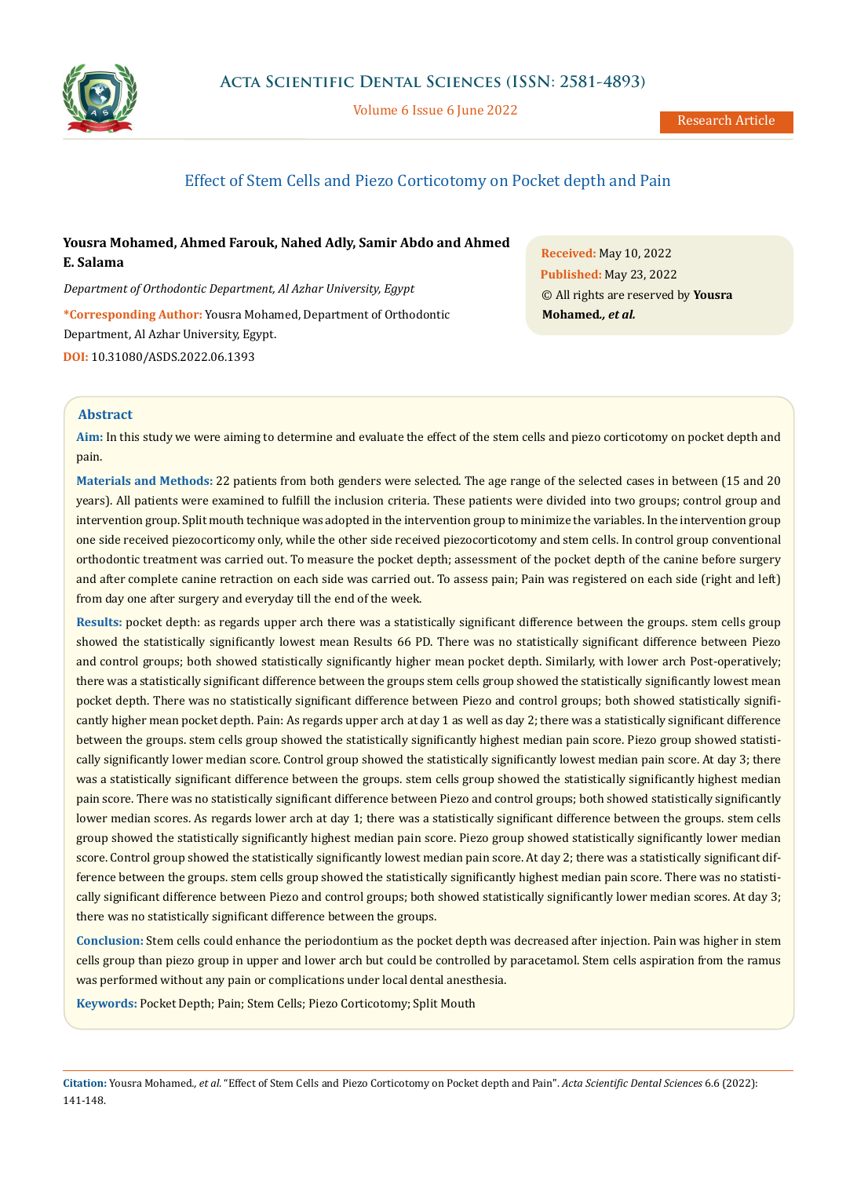

Volume 6 Issue 6 June 2022

# Effect of Stem Cells and Piezo Corticotomy on Pocket depth and Pain

# **Yousra Mohamed, Ahmed Farouk, Nahed Adly, Samir Abdo and Ahmed E. Salama**

*Department of Orthodontic Department, Al Azhar University, Egypt*

**\*Corresponding Author:** Yousra Mohamed, Department of Orthodontic Department, Al Azhar University, Egypt. **DOI:** [10.31080/ASDS.2022.06.1393](https://actascientific.com/ASDS/pdf/ASDS-06-1393.pdf)

**Received:** May 10, 2022 **Published:** May 23, 2022 © All rights are reserved by **Yousra Mohamed***., et al.*

## **Abstract**

**Aim:** In this study we were aiming to determine and evaluate the effect of the stem cells and piezo corticotomy on pocket depth and pain.

**Materials and Methods:** 22 patients from both genders were selected. The age range of the selected cases in between (15 and 20 years). All patients were examined to fulfill the inclusion criteria. These patients were divided into two groups; control group and intervention group. Split mouth technique was adopted in the intervention group to minimize the variables. In the intervention group one side received piezocorticomy only, while the other side received piezocorticotomy and stem cells. In control group conventional orthodontic treatment was carried out. To measure the pocket depth; assessment of the pocket depth of the canine before surgery and after complete canine retraction on each side was carried out. To assess pain; Pain was registered on each side (right and left) from day one after surgery and everyday till the end of the week.

**Results:** pocket depth: as regards upper arch there was a statistically significant difference between the groups. stem cells group showed the statistically significantly lowest mean Results 66 PD. There was no statistically significant difference between Piezo and control groups; both showed statistically significantly higher mean pocket depth. Similarly, with lower arch Post-operatively; there was a statistically significant difference between the groups stem cells group showed the statistically significantly lowest mean pocket depth. There was no statistically significant difference between Piezo and control groups; both showed statistically significantly higher mean pocket depth. Pain: As regards upper arch at day 1 as well as day 2; there was a statistically significant difference between the groups. stem cells group showed the statistically significantly highest median pain score. Piezo group showed statistically significantly lower median score. Control group showed the statistically significantly lowest median pain score. At day 3; there was a statistically significant difference between the groups. stem cells group showed the statistically significantly highest median pain score. There was no statistically significant difference between Piezo and control groups; both showed statistically significantly lower median scores. As regards lower arch at day 1; there was a statistically significant difference between the groups. stem cells group showed the statistically significantly highest median pain score. Piezo group showed statistically significantly lower median score. Control group showed the statistically significantly lowest median pain score. At day 2; there was a statistically significant difference between the groups. stem cells group showed the statistically significantly highest median pain score. There was no statistically significant difference between Piezo and control groups; both showed statistically significantly lower median scores. At day 3; there was no statistically significant difference between the groups.

**Conclusion:** Stem cells could enhance the periodontium as the pocket depth was decreased after injection. Pain was higher in stem cells group than piezo group in upper and lower arch but could be controlled by paracetamol. Stem cells aspiration from the ramus was performed without any pain or complications under local dental anesthesia.

**Keywords:** Pocket Depth; Pain; Stem Cells; Piezo Corticotomy; Split Mouth

**Citation:** Yousra Mohamed*., et al.* "Effect of Stem Cells and Piezo Corticotomy on Pocket depth and Pain". *Acta Scientific Dental Sciences* 6.6 (2022): 141-148.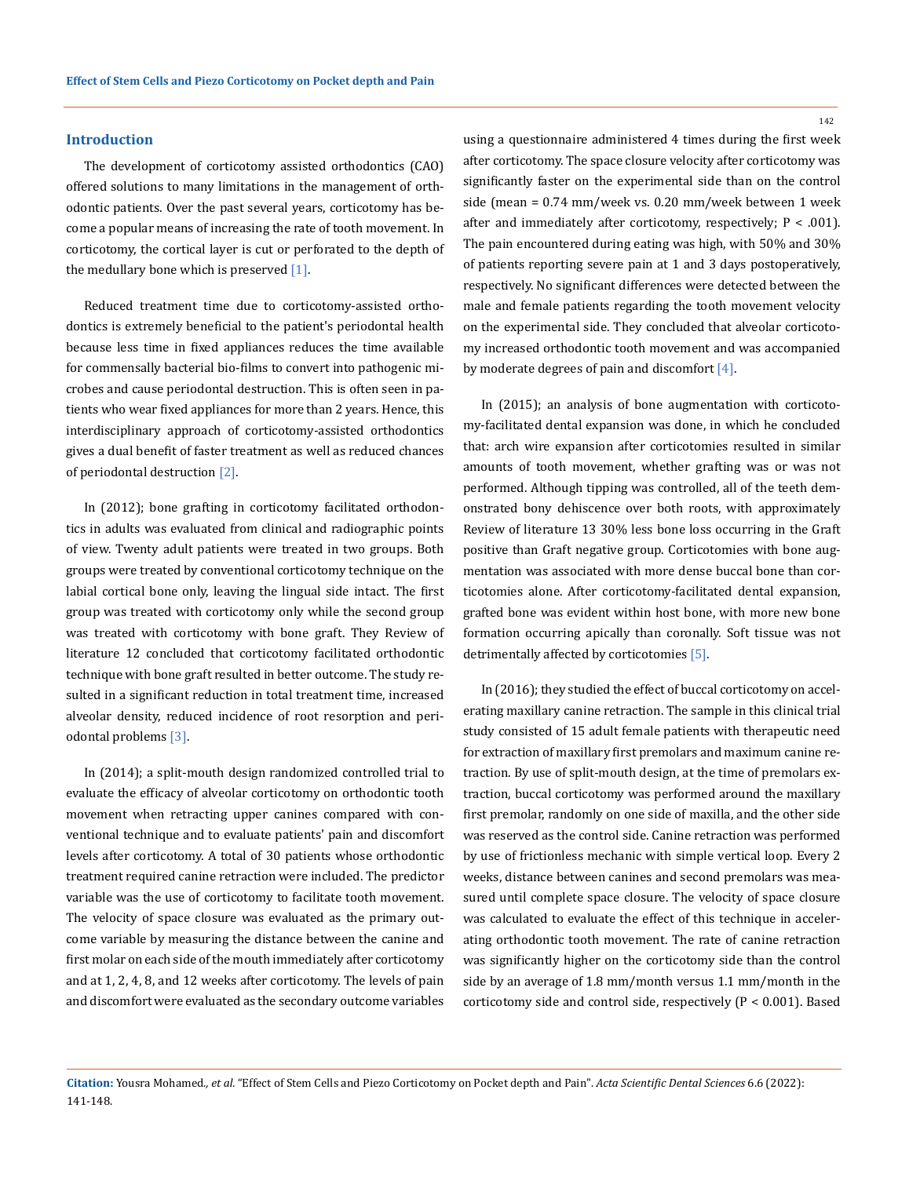### **Introduction**

The development of corticotomy assisted orthodontics (CAO) offered solutions to many limitations in the management of orthodontic patients. Over the past several years, corticotomy has become a popular means of increasing the rate of tooth movement. In corticotomy, the cortical layer is cut or perforated to the depth of the medullary bone which is preserved  $[1]$ .

Reduced treatment time due to corticotomy-assisted orthodontics is extremely beneficial to the patient's periodontal health because less time in fixed appliances reduces the time available for commensally bacterial bio-films to convert into pathogenic microbes and cause periodontal destruction. This is often seen in patients who wear fixed appliances for more than 2 years. Hence, this interdisciplinary approach of corticotomy-assisted orthodontics gives a dual benefit of faster treatment as well as reduced chances of periodontal destruction [2].

In (2012); bone grafting in corticotomy facilitated orthodontics in adults was evaluated from clinical and radiographic points of view. Twenty adult patients were treated in two groups. Both groups were treated by conventional corticotomy technique on the labial cortical bone only, leaving the lingual side intact. The first group was treated with corticotomy only while the second group was treated with corticotomy with bone graft. They Review of literature 12 concluded that corticotomy facilitated orthodontic technique with bone graft resulted in better outcome. The study resulted in a significant reduction in total treatment time, increased alveolar density, reduced incidence of root resorption and periodontal problems [3].

In (2014); a split-mouth design randomized controlled trial to evaluate the efficacy of alveolar corticotomy on orthodontic tooth movement when retracting upper canines compared with conventional technique and to evaluate patients' pain and discomfort levels after corticotomy. A total of 30 patients whose orthodontic treatment required canine retraction were included. The predictor variable was the use of corticotomy to facilitate tooth movement. The velocity of space closure was evaluated as the primary outcome variable by measuring the distance between the canine and first molar on each side of the mouth immediately after corticotomy and at 1, 2, 4, 8, and 12 weeks after corticotomy. The levels of pain and discomfort were evaluated as the secondary outcome variables

using a questionnaire administered 4 times during the first week after corticotomy. The space closure velocity after corticotomy was significantly faster on the experimental side than on the control side (mean = 0.74 mm/week vs. 0.20 mm/week between 1 week after and immediately after corticotomy, respectively;  $P < .001$ ). The pain encountered during eating was high, with 50% and 30% of patients reporting severe pain at 1 and 3 days postoperatively, respectively. No significant differences were detected between the male and female patients regarding the tooth movement velocity on the experimental side. They concluded that alveolar corticotomy increased orthodontic tooth movement and was accompanied by moderate degrees of pain and discomfort  $[4]$ .

In (2015); an analysis of bone augmentation with corticotomy-facilitated dental expansion was done, in which he concluded that: arch wire expansion after corticotomies resulted in similar amounts of tooth movement, whether grafting was or was not performed. Although tipping was controlled, all of the teeth demonstrated bony dehiscence over both roots, with approximately Review of literature 13 30% less bone loss occurring in the Graft positive than Graft negative group. Corticotomies with bone augmentation was associated with more dense buccal bone than corticotomies alone. After corticotomy-facilitated dental expansion, grafted bone was evident within host bone, with more new bone formation occurring apically than coronally. Soft tissue was not detrimentally affected by corticotomies [5].

In (2016); they studied the effect of buccal corticotomy on accelerating maxillary canine retraction. The sample in this clinical trial study consisted of 15 adult female patients with therapeutic need for extraction of maxillary first premolars and maximum canine retraction. By use of split-mouth design, at the time of premolars extraction, buccal corticotomy was performed around the maxillary first premolar, randomly on one side of maxilla, and the other side was reserved as the control side. Canine retraction was performed by use of frictionless mechanic with simple vertical loop. Every 2 weeks, distance between canines and second premolars was measured until complete space closure. The velocity of space closure was calculated to evaluate the effect of this technique in accelerating orthodontic tooth movement. The rate of canine retraction was significantly higher on the corticotomy side than the control side by an average of 1.8 mm/month versus 1.1 mm/month in the corticotomy side and control side, respectively (P < 0.001). Based

**Citation:** Yousra Mohamed*., et al.* "Effect of Stem Cells and Piezo Corticotomy on Pocket depth and Pain". *Acta Scientific Dental Sciences* 6.6 (2022): 141-148.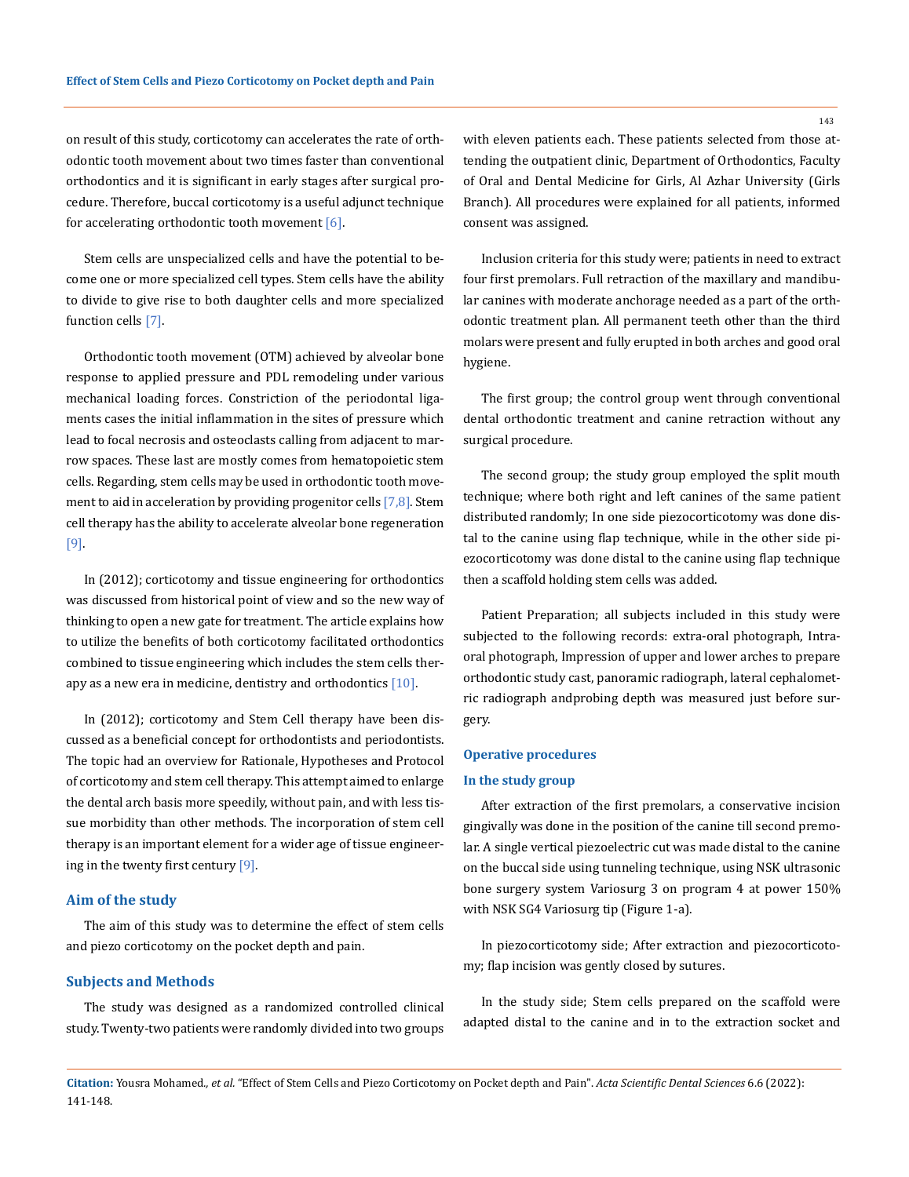on result of this study, corticotomy can accelerates the rate of orthodontic tooth movement about two times faster than conventional orthodontics and it is significant in early stages after surgical procedure. Therefore, buccal corticotomy is a useful adjunct technique for accelerating orthodontic tooth movement  $[6]$ .

Stem cells are unspecialized cells and have the potential to become one or more specialized cell types. Stem cells have the ability to divide to give rise to both daughter cells and more specialized function cells [7].

Orthodontic tooth movement (OTM) achieved by alveolar bone response to applied pressure and PDL remodeling under various mechanical loading forces. Constriction of the periodontal ligaments cases the initial inflammation in the sites of pressure which lead to focal necrosis and osteoclasts calling from adjacent to marrow spaces. These last are mostly comes from hematopoietic stem cells. Regarding, stem cells may be used in orthodontic tooth movement to aid in acceleration by providing progenitor cells [7,8]. Stem cell therapy has the ability to accelerate alveolar bone regeneration [9].

In (2012); corticotomy and tissue engineering for orthodontics was discussed from historical point of view and so the new way of thinking to open a new gate for treatment. The article explains how to utilize the benefits of both corticotomy facilitated orthodontics combined to tissue engineering which includes the stem cells therapy as a new era in medicine, dentistry and orthodontics  $[10]$ .

In (2012); corticotomy and Stem Cell therapy have been discussed as a beneficial concept for orthodontists and periodontists. The topic had an overview for Rationale, Hypotheses and Protocol of corticotomy and stem cell therapy. This attempt aimed to enlarge the dental arch basis more speedily, without pain, and with less tissue morbidity than other methods. The incorporation of stem cell therapy is an important element for a wider age of tissue engineering in the twenty first century [9].

## **Aim of the study**

The aim of this study was to determine the effect of stem cells and piezo corticotomy on the pocket depth and pain.

### **Subjects and Methods**

The study was designed as a randomized controlled clinical study. Twenty-two patients were randomly divided into two groups with eleven patients each. These patients selected from those attending the outpatient clinic, Department of Orthodontics, Faculty of Oral and Dental Medicine for Girls, Al Azhar University (Girls Branch). All procedures were explained for all patients, informed consent was assigned.

Inclusion criteria for this study were; patients in need to extract four first premolars. Full retraction of the maxillary and mandibular canines with moderate anchorage needed as a part of the orthodontic treatment plan. All permanent teeth other than the third molars were present and fully erupted in both arches and good oral hygiene.

The first group; the control group went through conventional dental orthodontic treatment and canine retraction without any surgical procedure.

The second group; the study group employed the split mouth technique; where both right and left canines of the same patient distributed randomly; In one side piezocorticotomy was done distal to the canine using flap technique, while in the other side piezocorticotomy was done distal to the canine using flap technique then a scaffold holding stem cells was added.

Patient Preparation; all subjects included in this study were subjected to the following records: extra-oral photograph, Intraoral photograph, Impression of upper and lower arches to prepare orthodontic study cast, panoramic radiograph, lateral cephalometric radiograph andprobing depth was measured just before surgery.

#### **Operative procedures**

#### **In the study group**

After extraction of the first premolars, a conservative incision gingivally was done in the position of the canine till second premolar. A single vertical piezoelectric cut was made distal to the canine on the buccal side using tunneling technique, using NSK ultrasonic bone surgery system Variosurg 3 on program 4 at power 150% with NSK SG4 Variosurg tip (Figure 1-a).

In piezocorticotomy side; After extraction and piezocorticotomy; flap incision was gently closed by sutures.

In the study side; Stem cells prepared on the scaffold were adapted distal to the canine and in to the extraction socket and

**Citation:** Yousra Mohamed*., et al.* "Effect of Stem Cells and Piezo Corticotomy on Pocket depth and Pain". *Acta Scientific Dental Sciences* 6.6 (2022): 141-148.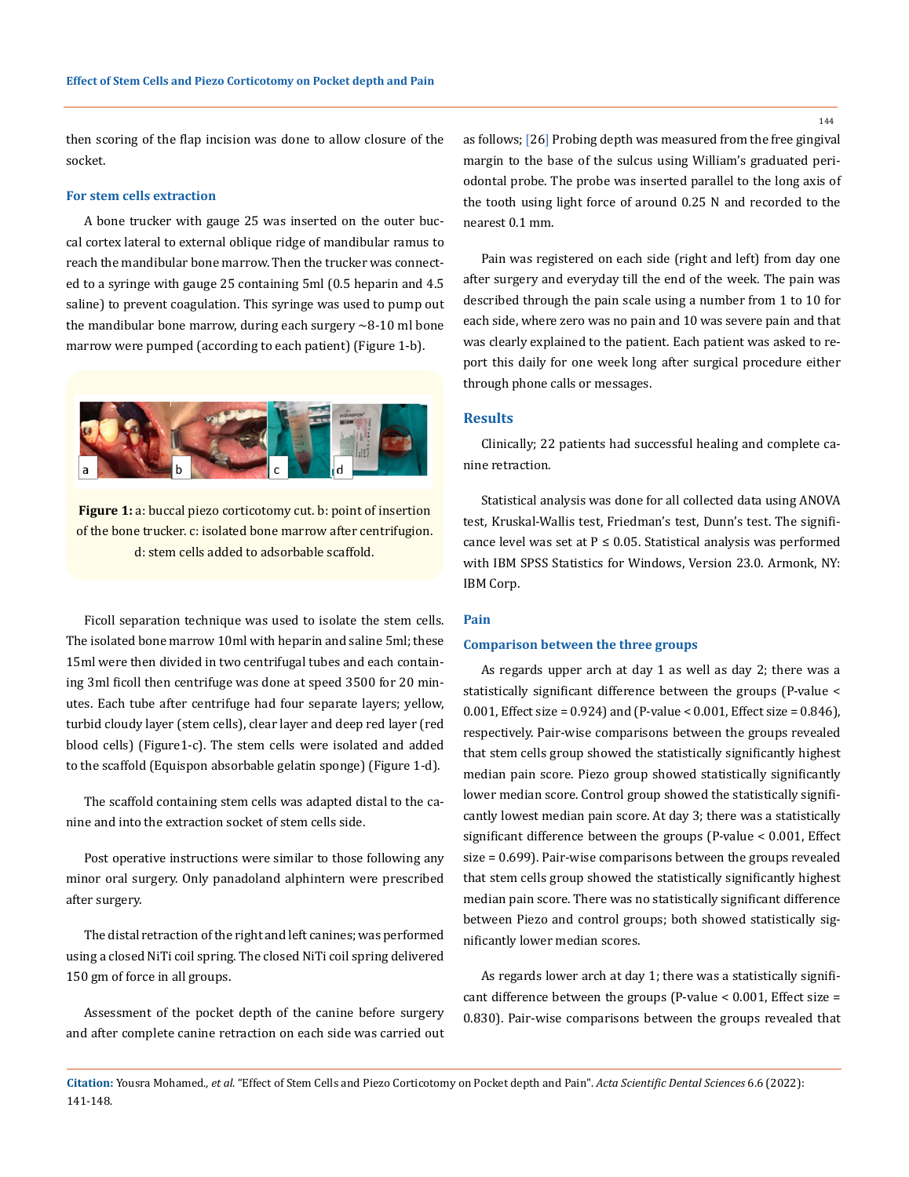then scoring of the flap incision was done to allow closure of the socket.

### **For stem cells extraction**

A bone trucker with gauge 25 was inserted on the outer buccal cortex lateral to external oblique ridge of mandibular ramus to reach the mandibular bone marrow. Then the trucker was connected to a syringe with gauge 25 containing 5ml (0.5 heparin and 4.5 saline) to prevent coagulation. This syringe was used to pump out the mandibular bone marrow, during each surgery  $\sim$ 8-10 ml bone marrow were pumped (according to each patient) (Figure 1-b).



**Figure 1:** a: buccal piezo corticotomy cut. b: point of insertion of the bone trucker. c: isolated bone marrow after centrifugion. d: stem cells added to adsorbable scaffold.

Ficoll separation technique was used to isolate the stem cells. The isolated bone marrow 10ml with heparin and saline 5ml; these 15ml were then divided in two centrifugal tubes and each containing 3ml ficoll then centrifuge was done at speed 3500 for 20 minutes. Each tube after centrifuge had four separate layers; yellow, turbid cloudy layer (stem cells), clear layer and deep red layer (red blood cells) (Figure1-c). The stem cells were isolated and added to the scaffold (Equispon absorbable gelatin sponge) (Figure 1-d).

The scaffold containing stem cells was adapted distal to the canine and into the extraction socket of stem cells side.

Post operative instructions were similar to those following any minor oral surgery. Only panadoland alphintern were prescribed after surgery.

The distal retraction of the right and left canines; was performed using a closed NiTi coil spring. The closed NiTi coil spring delivered 150 gm of force in all groups.

Assessment of the pocket depth of the canine before surgery and after complete canine retraction on each side was carried out as follows; [26] Probing depth was measured from the free gingival margin to the base of the sulcus using William's graduated periodontal probe. The probe was inserted parallel to the long axis of the tooth using light force of around 0.25 N and recorded to the nearest 0.1 mm.

Pain was registered on each side (right and left) from day one after surgery and everyday till the end of the week. The pain was described through the pain scale using a number from 1 to 10 for each side, where zero was no pain and 10 was severe pain and that was clearly explained to the patient. Each patient was asked to report this daily for one week long after surgical procedure either through phone calls or messages.

## **Results**

Clinically; 22 patients had successful healing and complete canine retraction.

Statistical analysis was done for all collected data using ANOVA test, Kruskal-Wallis test, Friedman's test, Dunn's test. The significance level was set at  $P \le 0.05$ . Statistical analysis was performed with IBM SPSS Statistics for Windows, Version 23.0. Armonk, NY: IBM Corp.

## **Pain**

#### **Comparison between the three groups**

As regards upper arch at day 1 as well as day 2; there was a statistically significant difference between the groups (P-value < 0.001, Effect size = 0.924) and (P-value < 0.001, Effect size = 0.846), respectively. Pair-wise comparisons between the groups revealed that stem cells group showed the statistically significantly highest median pain score. Piezo group showed statistically significantly lower median score. Control group showed the statistically significantly lowest median pain score. At day 3; there was a statistically significant difference between the groups (P-value < 0.001, Effect size = 0.699). Pair-wise comparisons between the groups revealed that stem cells group showed the statistically significantly highest median pain score. There was no statistically significant difference between Piezo and control groups; both showed statistically significantly lower median scores.

As regards lower arch at day 1; there was a statistically significant difference between the groups (P-value < 0.001, Effect size = 0.830). Pair-wise comparisons between the groups revealed that

**Citation:** Yousra Mohamed*., et al.* "Effect of Stem Cells and Piezo Corticotomy on Pocket depth and Pain". *Acta Scientific Dental Sciences* 6.6 (2022): 141-148.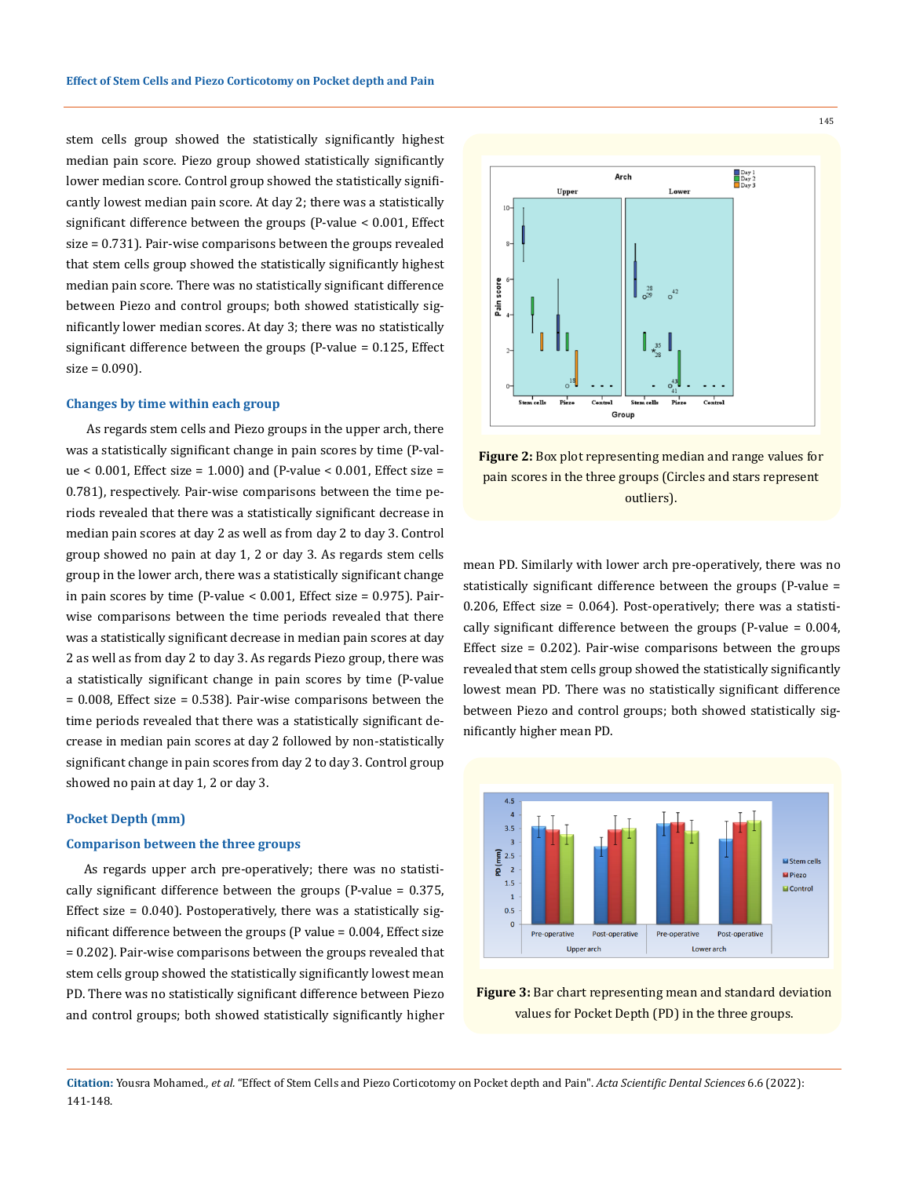stem cells group showed the statistically significantly highest median pain score. Piezo group showed statistically significantly lower median score. Control group showed the statistically significantly lowest median pain score. At day 2; there was a statistically significant difference between the groups (P-value < 0.001, Effect size = 0.731). Pair-wise comparisons between the groups revealed that stem cells group showed the statistically significantly highest median pain score. There was no statistically significant difference between Piezo and control groups; both showed statistically significantly lower median scores. At day 3; there was no statistically significant difference between the groups (P-value = 0.125, Effect  $size = 0.090$ ).

#### **Changes by time within each group**

 As regards stem cells and Piezo groups in the upper arch, there was a statistically significant change in pain scores by time (P-val $ue < 0.001$ , Effect size = 1.000) and (P-value < 0.001, Effect size = 0.781), respectively. Pair-wise comparisons between the time periods revealed that there was a statistically significant decrease in median pain scores at day 2 as well as from day 2 to day 3. Control group showed no pain at day 1, 2 or day 3. As regards stem cells group in the lower arch, there was a statistically significant change in pain scores by time (P-value < 0.001, Effect size = 0.975). Pairwise comparisons between the time periods revealed that there was a statistically significant decrease in median pain scores at day 2 as well as from day 2 to day 3. As regards Piezo group, there was a statistically significant change in pain scores by time (P-value  $= 0.008$ , Effect size  $= 0.538$ ). Pair-wise comparisons between the time periods revealed that there was a statistically significant decrease in median pain scores at day 2 followed by non-statistically significant change in pain scores from day 2 to day 3. Control group showed no pain at day 1, 2 or day 3.

#### **Pocket Depth (mm)**

#### **Comparison between the three groups**

As regards upper arch pre-operatively; there was no statistically significant difference between the groups (P-value = 0.375, Effect size  $= 0.040$ ). Postoperatively, there was a statistically significant difference between the groups (P value = 0.004, Effect size = 0.202). Pair-wise comparisons between the groups revealed that stem cells group showed the statistically significantly lowest mean PD. There was no statistically significant difference between Piezo and control groups; both showed statistically significantly higher



**Figure 2:** Box plot representing median and range values for pain scores in the three groups (Circles and stars represent outliers).

mean PD. Similarly with lower arch pre-operatively, there was no statistically significant difference between the groups (P-value = 0.206, Effect size = 0.064). Post-operatively; there was a statistically significant difference between the groups (P-value = 0.004, Effect size = 0.202). Pair-wise comparisons between the groups revealed that stem cells group showed the statistically significantly lowest mean PD. There was no statistically significant difference between Piezo and control groups; both showed statistically significantly higher mean PD.



**Figure 3:** Bar chart representing mean and standard deviation values for Pocket Depth (PD) in the three groups.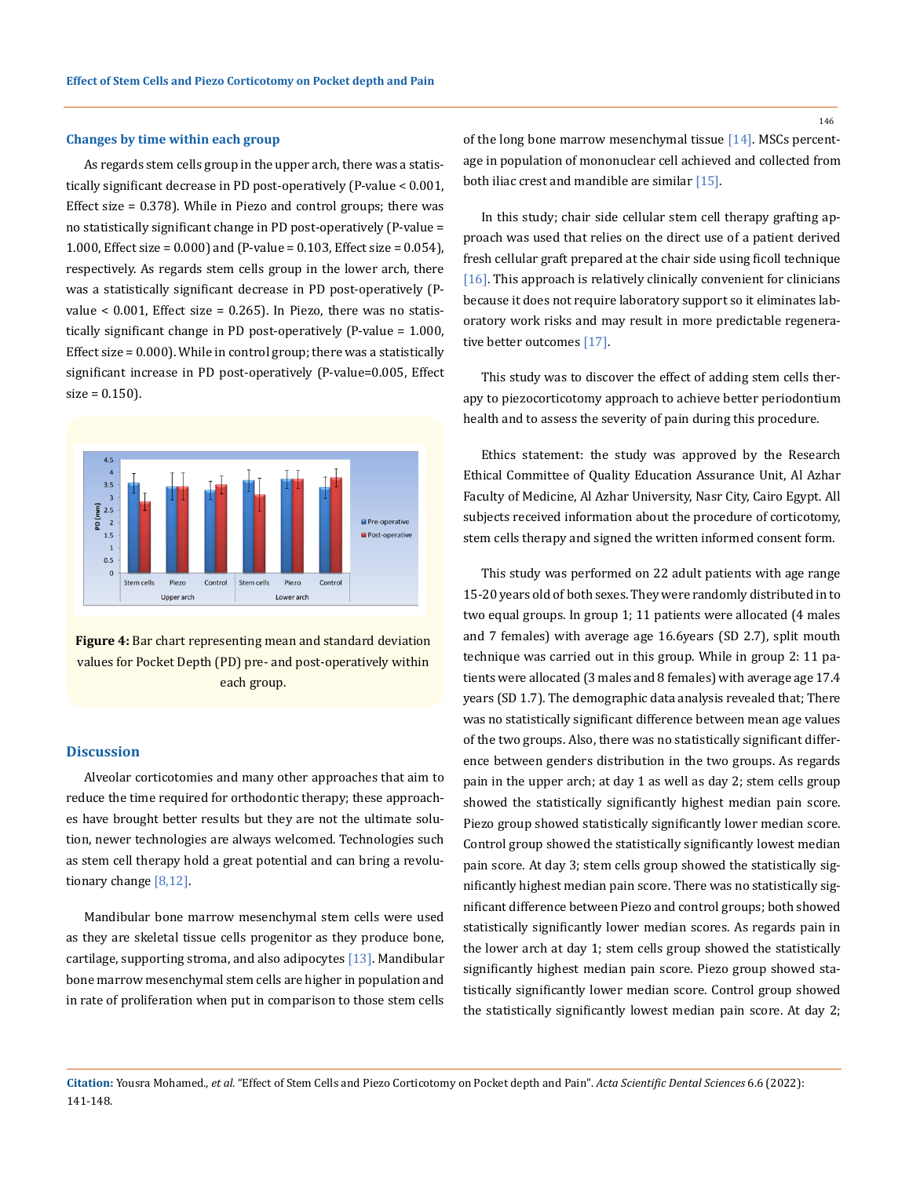#### **Changes by time within each group**

As regards stem cells group in the upper arch, there was a statistically significant decrease in PD post-operatively (P-value < 0.001, Effect size = 0.378). While in Piezo and control groups; there was no statistically significant change in PD post-operatively (P-value = 1.000, Effect size = 0.000) and (P-value = 0.103, Effect size = 0.054), respectively. As regards stem cells group in the lower arch, there was a statistically significant decrease in PD post-operatively (Pvalue <  $0.001$ , Effect size =  $0.265$ ). In Piezo, there was no statistically significant change in PD post-operatively (P-value = 1.000, Effect size = 0.000). While in control group; there was a statistically significant increase in PD post-operatively (P-value=0.005, Effect  $size = 0.150$ ).



**Figure 4:** Bar chart representing mean and standard deviation values for Pocket Depth (PD) pre- and post-operatively within each group.

#### **Discussion**

Alveolar corticotomies and many other approaches that aim to reduce the time required for orthodontic therapy; these approaches have brought better results but they are not the ultimate solution, newer technologies are always welcomed. Technologies such as stem cell therapy hold a great potential and can bring a revolutionary change [8,12].

Mandibular bone marrow mesenchymal stem cells were used as they are skeletal tissue cells progenitor as they produce bone, cartilage, supporting stroma, and also adipocytes  $[13]$ . Mandibular bone marrow mesenchymal stem cells are higher in population and in rate of proliferation when put in comparison to those stem cells of the long bone marrow mesenchymal tissue [14]. MSCs percentage in population of mononuclear cell achieved and collected from both iliac crest and mandible are similar [15].

In this study; chair side cellular stem cell therapy grafting approach was used that relies on the direct use of a patient derived fresh cellular graft prepared at the chair side using ficoll technique  $[16]$ . This approach is relatively clinically convenient for clinicians because it does not require laboratory support so it eliminates laboratory work risks and may result in more predictable regenerative better outcomes [17].

This study was to discover the effect of adding stem cells therapy to piezocorticotomy approach to achieve better periodontium health and to assess the severity of pain during this procedure.

Ethics statement: the study was approved by the Research Ethical Committee of Quality Education Assurance Unit, Al Azhar Faculty of Medicine, Al Azhar University, Nasr City, Cairo Egypt. All subjects received information about the procedure of corticotomy, stem cells therapy and signed the written informed consent form.

This study was performed on 22 adult patients with age range 15-20 years old of both sexes. They were randomly distributed in to two equal groups. In group 1; 11 patients were allocated (4 males and 7 females) with average age 16.6years (SD 2.7), split mouth technique was carried out in this group. While in group 2: 11 patients were allocated (3 males and 8 females) with average age 17.4 years (SD 1.7). The demographic data analysis revealed that; There was no statistically significant difference between mean age values of the two groups. Also, there was no statistically significant difference between genders distribution in the two groups. As regards pain in the upper arch; at day 1 as well as day 2; stem cells group showed the statistically significantly highest median pain score. Piezo group showed statistically significantly lower median score. Control group showed the statistically significantly lowest median pain score. At day 3; stem cells group showed the statistically significantly highest median pain score. There was no statistically significant difference between Piezo and control groups; both showed statistically significantly lower median scores. As regards pain in the lower arch at day 1; stem cells group showed the statistically significantly highest median pain score. Piezo group showed statistically significantly lower median score. Control group showed the statistically significantly lowest median pain score. At day 2;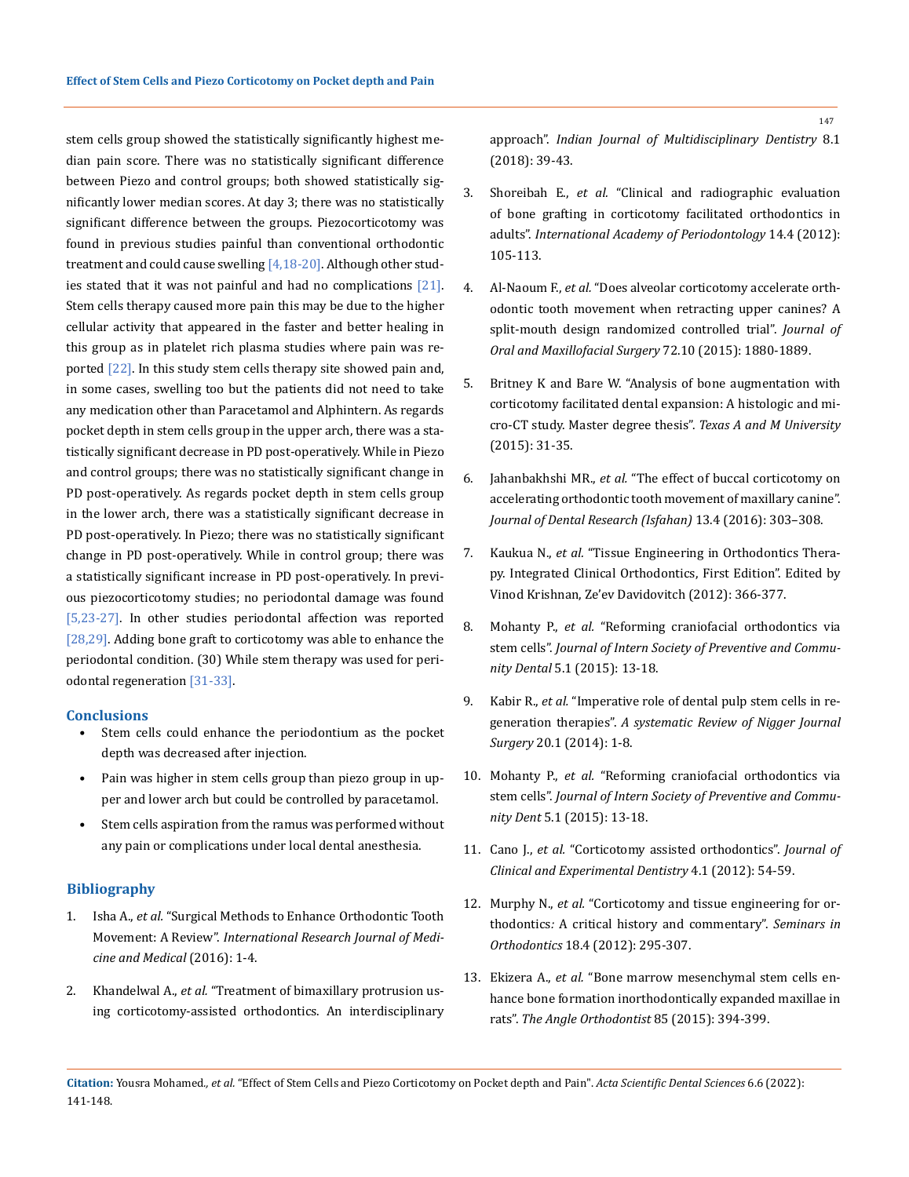stem cells group showed the statistically significantly highest median pain score. There was no statistically significant difference between Piezo and control groups; both showed statistically significantly lower median scores. At day 3; there was no statistically significant difference between the groups. Piezocorticotomy was found in previous studies painful than conventional orthodontic treatment and could cause swelling [4,18-20]. Although other studies stated that it was not painful and had no complications [21]. Stem cells therapy caused more pain this may be due to the higher cellular activity that appeared in the faster and better healing in this group as in platelet rich plasma studies where pain was reported [22]. In this study stem cells therapy site showed pain and, in some cases, swelling too but the patients did not need to take any medication other than Paracetamol and Alphintern. As regards pocket depth in stem cells group in the upper arch, there was a statistically significant decrease in PD post-operatively. While in Piezo and control groups; there was no statistically significant change in PD post-operatively. As regards pocket depth in stem cells group in the lower arch, there was a statistically significant decrease in PD post-operatively. In Piezo; there was no statistically significant change in PD post-operatively. While in control group; there was a statistically significant increase in PD post-operatively. In previous piezocorticotomy studies; no periodontal damage was found [5,23-27]. In other studies periodontal affection was reported [28,29]. Adding bone graft to corticotomy was able to enhance the periodontal condition. (30) While stem therapy was used for periodontal regeneration [31-33].

#### **Conclusions**

- Stem cells could enhance the periodontium as the pocket depth was decreased after injection.
- Pain was higher in stem cells group than piezo group in upper and lower arch but could be controlled by paracetamol.
- Stem cells aspiration from the ramus was performed without any pain or complications under local dental anesthesia.

### **Bibliography**

- 1. Isha A., *et al.* ["Surgical Methods to Enhance Orthodontic Tooth](https://www.tjo.org.tw/cgi/viewcontent.cgi?article=1004&context=tjo)  Movement: A Review". *[International Research Journal of Medi](https://www.tjo.org.tw/cgi/viewcontent.cgi?article=1004&context=tjo)[cine and Medical](https://www.tjo.org.tw/cgi/viewcontent.cgi?article=1004&context=tjo)* (2016): 1-4.
- 2. Khandelwal A., *et al.* ["Treatment of bimaxillary protrusion us](https://www.ijmdent.com/article.asp?issn=2229-6360;year=2018;volume=8;issue=1;spage=39;epage=43;aulast=Khandelwal;type=0)[ing corticotomy-assisted orthodontics. An interdisciplinary](https://www.ijmdent.com/article.asp?issn=2229-6360;year=2018;volume=8;issue=1;spage=39;epage=43;aulast=Khandelwal;type=0)

approach". *[Indian Journal of Multidisciplinary Dentistry](https://www.ijmdent.com/article.asp?issn=2229-6360;year=2018;volume=8;issue=1;spage=39;epage=43;aulast=Khandelwal;type=0)* 8.1 [\(2018\): 39-43.](https://www.ijmdent.com/article.asp?issn=2229-6360;year=2018;volume=8;issue=1;spage=39;epage=43;aulast=Khandelwal;type=0)

- 3. Shoreibah E., *et al.* ["Clinical and radiographic evaluation](https://pubmed.ncbi.nlm.nih.gov/23210199/)  [of bone grafting in corticotomy facilitated orthodontics in](https://pubmed.ncbi.nlm.nih.gov/23210199/)  adults". *[International Academy of Periodontology](https://pubmed.ncbi.nlm.nih.gov/23210199/)* 14.4 (2012): [105-113.](https://pubmed.ncbi.nlm.nih.gov/23210199/)
- 4. Al-Naoum F., *et al.* ["Does alveolar corticotomy accelerate orth](https://pubmed.ncbi.nlm.nih.gov/25128922/)[odontic tooth movement when retracting upper canines? A](https://pubmed.ncbi.nlm.nih.gov/25128922/)  [split-mouth design randomized controlled trial".](https://pubmed.ncbi.nlm.nih.gov/25128922/) *Journal of [Oral and Maxillofacial Surgery](https://pubmed.ncbi.nlm.nih.gov/25128922/)* 72.10 (2015): 1880-1889.
- 5. [Britney K and Bare W. "Analysis of bone augmentation with](https://oaktrust.library.tamu.edu/handle/1969.1/155234)  [corticotomy facilitated dental expansion: A histologic and mi](https://oaktrust.library.tamu.edu/handle/1969.1/155234)[cro-CT study. Master degree thesis".](https://oaktrust.library.tamu.edu/handle/1969.1/155234) *Texas A and M University* [\(2015\): 31-35.](https://oaktrust.library.tamu.edu/handle/1969.1/155234)
- 6. Jahanbakhshi MR., *et al.* ["The effect of buccal corticotomy on](https://www.ncbi.nlm.nih.gov/pmc/articles/PMC4993056/)  [accelerating orthodontic tooth movement of maxillary canine".](https://www.ncbi.nlm.nih.gov/pmc/articles/PMC4993056/)  *[Journal of Dental Research \(Isfahan\)](https://www.ncbi.nlm.nih.gov/pmc/articles/PMC4993056/)* 13.4 (2016): 303–308.
- 7. Kaukua N., *et al.* ["Tissue Engineering in Orthodontics Thera](https://onlinelibrary.wiley.com/doi/10.1002/9781118702901.ch20)[py. Integrated Clinical Orthodontics, First Edition". Edited by](https://onlinelibrary.wiley.com/doi/10.1002/9781118702901.ch20)  [Vinod Krishnan, Ze'ev Davidovitch \(2012\): 366-377.](https://onlinelibrary.wiley.com/doi/10.1002/9781118702901.ch20)
- 8. Mohanty P., *et al.* ["Reforming craniofacial orthodontics via](https://pubmed.ncbi.nlm.nih.gov/25767761/)  stem cells". *[Journal of Intern Society of Preventive and Commu](https://pubmed.ncbi.nlm.nih.gov/25767761/)nity Dental* [5.1 \(2015\): 13-18.](https://pubmed.ncbi.nlm.nih.gov/25767761/)
- 9. Kabir R., *et al.* ["Imperative role of dental pulp stem cells in re](https://pubmed.ncbi.nlm.nih.gov/24665194/)generation therapies". *[A systematic Review of Nigger Journal](https://pubmed.ncbi.nlm.nih.gov/24665194/)  Surgery* [20.1 \(2014\): 1-8.](https://pubmed.ncbi.nlm.nih.gov/24665194/)
- 10. Mohanty P., *et al.* ["Reforming craniofacial orthodontics via](https://www.ncbi.nlm.nih.gov/pmc/articles/PMC4355844/)  stem cells". *[Journal of Intern Society of Preventive and Commu](https://www.ncbi.nlm.nih.gov/pmc/articles/PMC4355844/)nity Dent* [5.1 \(2015\): 13-18.](https://www.ncbi.nlm.nih.gov/pmc/articles/PMC4355844/)
- 11. Cano J., *et al.* ["Corticotomy assisted orthodontics".](https://www.ncbi.nlm.nih.gov/pmc/articles/PMC3908811/) *Journal of [Clinical and Experimental Dentistry](https://www.ncbi.nlm.nih.gov/pmc/articles/PMC3908811/)* 4.1 (2012): 54-59.
- 12. Murphy N., *et al.* ["Corticotomy and tissue engineering for or](https://www.researchgate.net/publication/257483232_Corticotomy_and_Tissue_Engineering_for_Orthodontists_A_Critical_History_and_Commentary)thodontics*:* [A critical history and commentary".](https://www.researchgate.net/publication/257483232_Corticotomy_and_Tissue_Engineering_for_Orthodontists_A_Critical_History_and_Commentary) *Seminars in Orthodontics* [18.4 \(2012\): 295-307.](https://www.researchgate.net/publication/257483232_Corticotomy_and_Tissue_Engineering_for_Orthodontists_A_Critical_History_and_Commentary)
- 13. Ekizera A., *et al.* ["Bone marrow mesenchymal stem cells en](https://pubmed.ncbi.nlm.nih.gov/25054344/)[hance bone formation inorthodontically expanded maxillae in](https://pubmed.ncbi.nlm.nih.gov/25054344/)  rats". *[The Angle Orthodontist](https://pubmed.ncbi.nlm.nih.gov/25054344/)* 85 (2015): 394-399.
- **Citation:** Yousra Mohamed*., et al.* "Effect of Stem Cells and Piezo Corticotomy on Pocket depth and Pain". *Acta Scientific Dental Sciences* 6.6 (2022): 141-148.